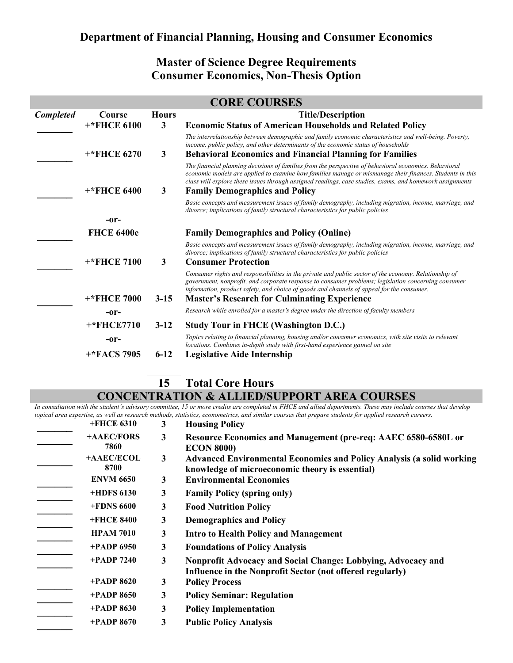## **Department of Financial Planning, Housing and Consumer Economics**

## **Master of Science Degree Requirements Consumer Economics, Non-Thesis Option**

|                  |                    |              | <b>CORE COURSES</b>                                                                                                                                                                                                                                                                                                                                                    |
|------------------|--------------------|--------------|------------------------------------------------------------------------------------------------------------------------------------------------------------------------------------------------------------------------------------------------------------------------------------------------------------------------------------------------------------------------|
| <b>Completed</b> | Course             | <b>Hours</b> | <b>Title/Description</b>                                                                                                                                                                                                                                                                                                                                               |
|                  | <b>+*FHCE 6100</b> | $\mathbf{3}$ | <b>Economic Status of American Households and Related Policy</b>                                                                                                                                                                                                                                                                                                       |
|                  |                    |              | The interrelationship between demographic and family economic characteristics and well-being. Poverty,<br>income, public policy, and other determinants of the economic status of households                                                                                                                                                                           |
|                  | <b>+*FHCE 6270</b> | 3            | <b>Behavioral Economics and Financial Planning for Families</b>                                                                                                                                                                                                                                                                                                        |
|                  | <b>+*FHCE 6400</b> | $\mathbf{3}$ | The financial planning decisions of families from the perspective of behavioral economics. Behavioral<br>economic models are applied to examine how families manage or mismanage their finances. Students in this<br>class will explore these issues through assigned readings, case studies, exams, and homework assignments<br><b>Family Demographics and Policy</b> |
|                  |                    |              | Basic concepts and measurement issues of family demography, including migration, income, marriage, and<br>divorce; implications of family structural characteristics for public policies                                                                                                                                                                               |
|                  | -or-               |              |                                                                                                                                                                                                                                                                                                                                                                        |
|                  | <b>FHCE 6400e</b>  |              | <b>Family Demographics and Policy (Online)</b>                                                                                                                                                                                                                                                                                                                         |
|                  | <b>+*FHCE 7100</b> | 3            | Basic concepts and measurement issues of family demography, including migration, income, marriage, and<br>divorce; implications of family structural characteristics for public policies                                                                                                                                                                               |
|                  |                    |              | <b>Consumer Protection</b>                                                                                                                                                                                                                                                                                                                                             |
|                  |                    |              | Consumer rights and responsibilities in the private and public sector of the economy. Relationship of<br>government, nonprofit, and corporate response to consumer problems; legislation concerning consumer<br>information, product safety, and choice of goods and channels of appeal for the consumer.                                                              |
|                  | <b>+*FHCE 7000</b> | $3 - 15$     | <b>Master's Research for Culminating Experience</b>                                                                                                                                                                                                                                                                                                                    |
|                  | -or-               |              | Research while enrolled for a master's degree under the direction of faculty members                                                                                                                                                                                                                                                                                   |
|                  | +*FHCE7710         | $3-12$       | <b>Study Tour in FHCE (Washington D.C.)</b>                                                                                                                                                                                                                                                                                                                            |
|                  | -or-               |              | Topics relating to financial planning, housing and/or consumer economics, with site visits to relevant<br>locations. Combines in-depth study with first-hand experience gained on site                                                                                                                                                                                 |
|                  | $+$ *FACS 7905     | $6 - 12$     | <b>Legislative Aide Internship</b>                                                                                                                                                                                                                                                                                                                                     |

## **15 Total Core Hours CONCENTRATION & ALLIED/SUPPORT AREA COURSES**

*In consultation with the student's advisory committee, 15 or more credits are completed in FHCE and allied departments. These may include courses that develop topical area expertise, as well as research methods, statistics, econometrics, and similar courses that prepare students for applied research careers.*

| +FHCE 6310         | 3            | <b>Housing Policy</b>                                                                                                           |
|--------------------|--------------|---------------------------------------------------------------------------------------------------------------------------------|
| +AAEC/FORS<br>7860 | $\mathbf{3}$ | Resource Economics and Management (pre-req: AAEC 6580-6580L or<br><b>ECON 8000)</b>                                             |
| +AAEC/ECOL<br>8700 | 3            | <b>Advanced Environmental Economics and Policy Analysis (a solid working</b><br>knowledge of microeconomic theory is essential) |
| <b>ENVM 6650</b>   | 3            | <b>Environmental Economics</b>                                                                                                  |
| +HDFS 6130         | 3            | <b>Family Policy (spring only)</b>                                                                                              |
| <b>+FDNS 6600</b>  | 3            | <b>Food Nutrition Policy</b>                                                                                                    |
| +FHCE 8400         | 3            | <b>Demographics and Policy</b>                                                                                                  |
| <b>HPAM 7010</b>   | 3            | <b>Intro to Health Policy and Management</b>                                                                                    |
| $+$ PADP 6950      | 3            | <b>Foundations of Policy Analysis</b>                                                                                           |
| $+$ PADP 7240      | 3            | Nonprofit Advocacy and Social Change: Lobbying, Advocacy and<br>Influence in the Nonprofit Sector (not offered regularly)       |
| $+$ PADP 8620      | 3            | <b>Policy Process</b>                                                                                                           |
| $+$ PADP 8650      | 3            | <b>Policy Seminar: Regulation</b>                                                                                               |
| $+$ PADP 8630      | 3            | <b>Policy Implementation</b>                                                                                                    |
| $+$ PADP 8670      | 3            | <b>Public Policy Analysis</b>                                                                                                   |